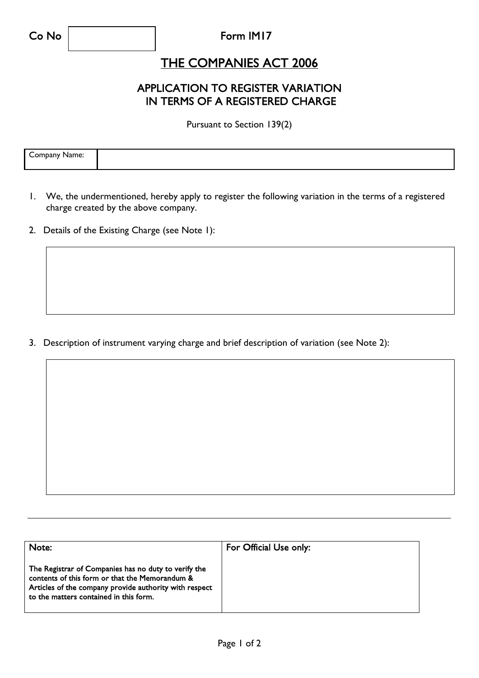### Form IM17

## THE COMPANIES ACT 2006

## APPLICATION TO REGISTER VARIATION IN TERMS OF A REGISTERED CHARGE

Pursuant to Section 139(2)

| -<br>ane.<br>והנ |  |
|------------------|--|
|                  |  |

- 1. We, the undermentioned, hereby apply to register the following variation in the terms of a registered charge created by the above company.
- 2. Details of the Existing Charge (see Note 1):

3. Description of instrument varying charge and brief description of variation (see Note 2):

| Note:                                                                                                                                                                                                      | For Official Use only: |
|------------------------------------------------------------------------------------------------------------------------------------------------------------------------------------------------------------|------------------------|
| The Registrar of Companies has no duty to verify the<br>contents of this form or that the Memorandum &<br>Articles of the company provide authority with respect<br>to the matters contained in this form. |                        |